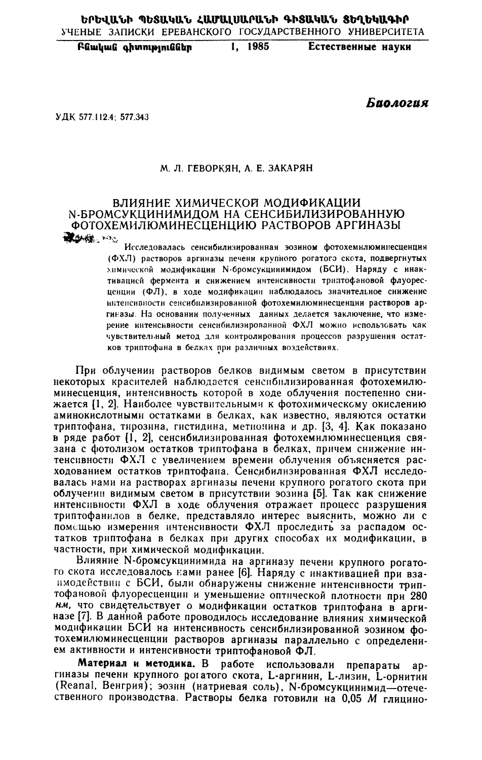Բնական գիտություններ 1, 1985 Естественные науки

Биология

УДК 577.112.4: 577.343

#### М. Л. ГЕВОРКЯН, А. Е. ЗАКАРЯН

### ВЛИЯНИЕ ХИМИЧЕСКОЙ МОДИФИКАЦИИ N-БРОМСУКЦИНИМИДОМ НА СЕНСИБИЛИЗИРОВАННУЮ ФОТОХЕМИЛЮМИНЕСЦЕНЦИЮ РАСТВОРОВ АРГИНАЗЫ **ROMAN TOO**

Исследовалась сенсибилизированная эозином фотохемилюминесценция (ФХЛ) растворов аргиназы печени крупного рогатого скота, подвергнутых энмической модификации N-бромсукцинимидом (БСИ). Наряду с инактивацией фермента и снижением интенсивности триптофановой флуоресценции (ФЛ), в ходе модификации наблюдалось значительное снижение интенсивности сенсибнлизированной фотохемилюминесценции растворов аргиназы. На основании полученных данных делается заключение, что измерение интенсивности сенсибилизированной ФХЛ можно использовать как чувствительный метод для контролирования процессов разрушения остатков триптофана в белках при различных воздействиях.

При облучении растворов белков видимым светом в присутствии некоторых красителей наблюдается сенсибнлизированная фотохемилюминесценция, интенсивность которой в ходе облучения постепенно снижается [1, 2]. Наиболее чувствительными к фотохимическому окислению аминокислотными остатками в белках, как известно, являются остатки триптофана, тирозина, гистидина, метионина и др. [3, 4]. Как показано в ряде работ [1, 2], сенсибилизированная фотохемилюминесценция связана с фотолизом остатков триптофана в белках, причем снижение интенсивности ФХЛ с увеличением времени облучения объясняется расходованием остатков триптофана. Сенсибилизированная ФХЛ исследовалась нами на растворах аргиназы печени крупного рогатого скота при облучении видимым светом в присутствии эозина [5]. Так как снижение интенсивности ФХЛ в ходе облучения отражает процесс разрушения триптофанилов в белке, представляло интерес выяснить, можно ли с помещью измерения интенсивности ФХЛ проследить за распадом остатков триптофана в белках при других способах их модификации, в частности, при химической модификации.

Влияние N-бромсукцинимида на аргиназу печени крупного рогатого скота исследовалось нами ранее [6]. Наряду с инактивацией при взаимодействии с БСИ, были обнаружены снижение интенсивности триптофановой флуоресценции и уменьшение оптической плотности при 280 нм, что свидетельствует о модификации остатков триптофана в аргиназе [7]. В данной работе проводилось исследование влияния химической модификации БСИ на интенсивность сенсибилизированной эозином фотохемилюминесценции растворов аргиназы параллельно с определением активности и интенсивности триптофановой ФЛ.

Материал и методика. В работе использовали препараты apгиназы печени крупного рогатого скота, L-аргинин, L-лизин, L-орнитин (Reanal, Венгрия); эозин (натриевая соль), N-бромсукцинимид-отечественного производства. Растворы белка готовили на 0,05 М глицино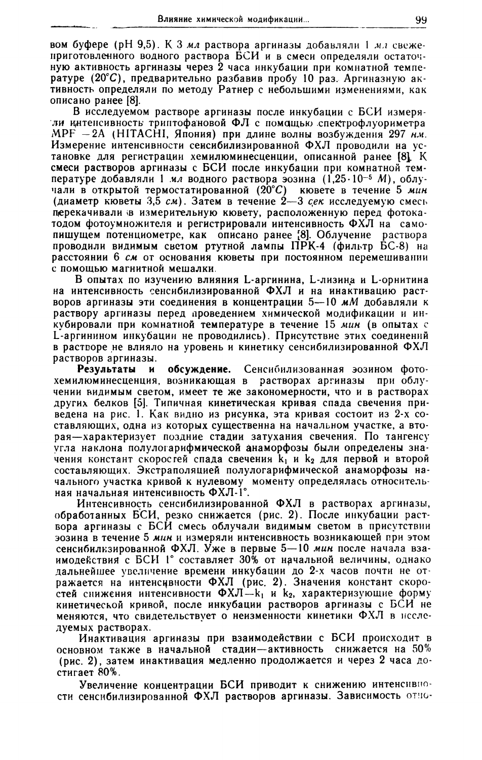вом буфере (рН 9,5). К 3 мл раствора аргиназы добавляли 1 мл свежеприготовленного водного раствора БСИ и в смеси определяли остаточную активность аргиназы через 2 часа инкубации при комнатной температуре (20°С), предварительно разбавив пробу 10 раз. Аргиназную активность определяли по методу Ратнер с небольшими изменениями, как описано ранее [8].

В исследуемом растворе аргиназы после инкубации с БСИ измеряли интенсивность триптофановой ФЛ с помощью спектрофлуориметра MPF - 2A (HITACHI, Япония) при длине волны возбуждения 297 н.м. Измерение интенсивности сенсибилизированной ФХЛ проводили на установке для регистрации хемилюминесценции, описанной ранее [8]. К смеси растворов аргиназы с БСИ после инкубации при комнатной температуре добавляли 1 мл водного раствора эозина (1,25·10<sup>-5</sup> M), облучали в открытой термостатированной (20°С) кювете в течение 5 мин (диаметр кюветы 3,5 см). Затем в течение 2-3 сек исследуемую смесь перекачивали в измерительную кювету, расположенную перед фотокатодом фотоумножителя и регистрировали интенсивность ФХЛ на самопишущем потенциометре, как описано ранее [8]. Облучение раствора проводили видимым светом ртутной лампы ПРК-4 (фильтр БС-8) на расстоянии 6 см от основания кюветы при постоянном перемешивании с помощью магнитной мешалки.

В опытах по изучению влияния L-аргинина, L-лизина и L-орнитина на интенсивность сенсибилизированной ФХЛ и на инактивацию растворов аргиназы эти соединения в концентрации 5—10 мМ добавляли к раствору аргиназы перед проведением химической модификации и инкубировали при комнатной температуре в течение 15 мин (в опытах с L-аргинином инкубации не проводились). Присутствие этих соединений в растворе не влияло на уровень и кинетику сенсибилизированной ФХЛ растворов аргиназы.

Результаты и обсуждение. Сенсибилизованная эозином фотохемилюминесценция, возникающая в растворах аргиназы при облучении видимым светом, имеет те же закономерности, что и в растворах других белков [5]. Типичная кинетическая кривая спада свечения приведена на рис. 1. Как видно из рисунка, эта кривая состоит из 2-х составляющих, одна из которых существенна на начальном участке, а вторая-характеризует поздние стадии затухания свечения. По тангенсу угла наклона полулогарифмической анаморфозы были определены значения констант скоростей спада свечения  $k_1$  и  $k_2$  для первой и второй составляющих. Экстраполяцией полулогарифмической анаморфозы начального участка кривой к нулевому моменту определялась относительная начальная интенсивность ФХЛ-1°.

Интенсивность сенсибилизированной ФХЛ в растворах аргиназы, обработанных БСИ, резко снижается (рис. 2). После инкубации раствора аргиназы с БСИ смесь облучали видимым светом в присутствии эозина в течение 5 мин и измеряли интенсивность возникающей при этом сенсибилизированной ФХЛ. Уже в первые 5-10 мин после начала взаимодействия с БСИ 1° составляет 30% от начальной величины, однако дальнейшее увеличение времени инкубации до 2-х часов почти не отражается на интенсивности ФХЛ (рис. 2). Значения констант скоростей снижения интенсивности ФХЛ-k<sub>1</sub> и k<sub>2</sub>, характеризующие форму кинетической кривой, после инкубации растворов аргиназы с БСИ не меняются, что свидетельствует о неизменности кинетики ФХЛ в исследуемых растворах.

Инактивация аргиназы при взаимодействии с БСИ происходит в основном также в начальной стадии-активность снижается на 50% (рис. 2), затем инактивация медленно продолжается и через 2 часа достигает 80%.

Увеличение концентрации БСИ приводит к снижению интенсивности сенсибилизированной ФХЛ растворов аргиназы. Зависимость отно-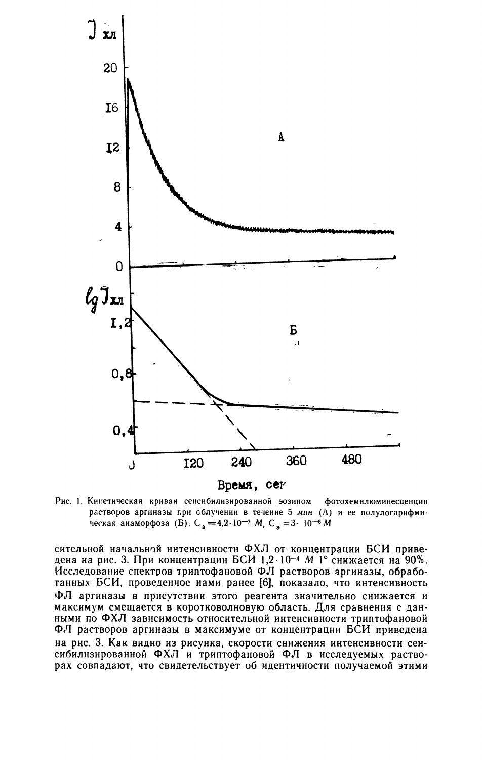

Рис. 1. Кинетическая кривая сенсибилизированной эозином фотохемилюминесценции растворов аргиназы при облучении в течение 5 мин (А) и ее полулогарифмическая анаморфоза (Б). С<sub>а</sub> = 4,2·10<sup>-7</sup> М, С<sub>э</sub> = 3·10<sup>-6</sup> М

сительной начальной интенсивности ФХЛ от концентрации БСИ приведена на рис. 3. При концентрации БСИ 1,2·10<sup>-4</sup> М 1° снижается на 90%. Исследование спектров триптофановой ФЛ растворов аргиназы, обработанных БСИ, проведенное нами ранее [6], показало, что интенсивность ФЛ аргиназы в присутствии этого реагента значительно снижается и максимум смещается в коротковолновую область. Для сравнения с данными по ФХЛ зависимость относительной интенсивности триптофановой ФЛ растворов аргиназы в максимуме от концентрации БСИ приведена на рис. 3. Как видно из рисунка, скорости снижения интенсивности сенсибилизированной ФХЛ и триптофановой ФЛ в исследуемых растворах совпадают, что свидетельствует об идентичности получаемой этими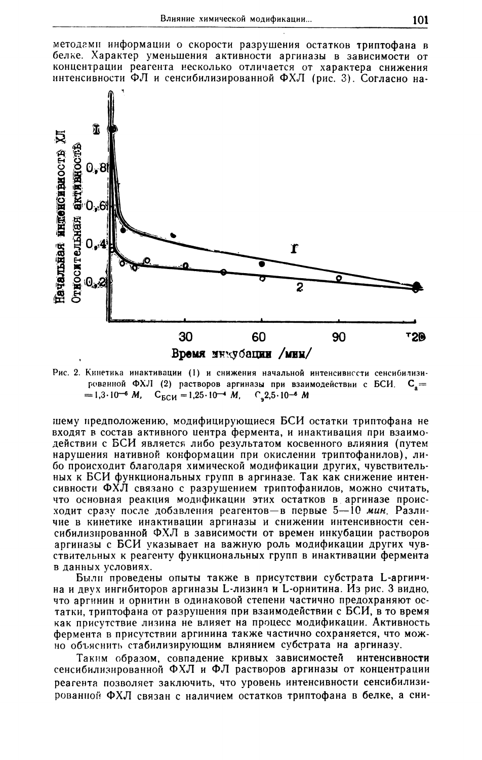методами информации о скорости разрушения остатков триптофана в белке. Характер уменьшения активности аргиназы в зависимости от концентрации реагента несколько отличается от характера снижения интенсивности ФЛ и сенсибилизированной ФХЛ (рис. 3). Согласно на-



Рис. 2. Кинетика инактивации (1) и снижения начальной интенсивности сенсибилизированной ФХЛ (2) растворов аргиназы при взаимодействии с БСИ.  $C_{\rm g} =$  $= 1.3 \cdot 10^{-6}$  M,  $C_{BCH} = 1.25 \cdot 10^{-4}$  M,  $C_{2} = 2.5 \cdot 10^{-6}$  M

шему предположению, модифицирующиеся БСИ остатки триптофана не входят в состав активного центра фермента, и инактивация при взаимодействии с БСИ является либо результатом косвенного влияния (путем нарушения нативной конформации при окислении триптофанилов), либо происходит благодаря химической модификации других, чувствительных к БСИ функциональных групп в аргиназе. Так как снижение интенсивности ФХЛ связано с разрушением триптофанилов, можно считать, что основная реакция модификации этих остатков в аргиназе происходит сразу после добавления реагентов-в первые 5-10 мин. Различие в кинетике инактивации аргиназы и снижении интенсивности сенсибилизированной ФХЛ в зависимости от времен инкубации растворов аргиназы с БСИ указывает на важную роль модификации других чувствительных к реагенту функциональных групп в инактивации фермента в данных условиях.

Были проведены опыты также в присутствии субстрата L-аргинина и двух ингибиторов аргиназы L-лизина и L-орнитина. Из рис. 3 видно, что аргинин и орнитин в одинаковой степени частично предохраняют остатки, триптофана от разрушения при взаимодействии с БСИ, в то время как присутствие лизина не влияет на процесс модификации. Активность фермента в присутствии аргинина также частично сохраняется, что можно объяснить стабилизирующим влиянием субстрата на аргиназу.

Таким образом, совпадение кривых зависимостей интенсивности сенсибилизированной ФХЛ и ФЛ растворов аргиназы от концентрации реагента позволяет заключить, что уровень интенсивности сенсибилизированной ФХЛ связан с наличием остатков триптофана в белке, а сни-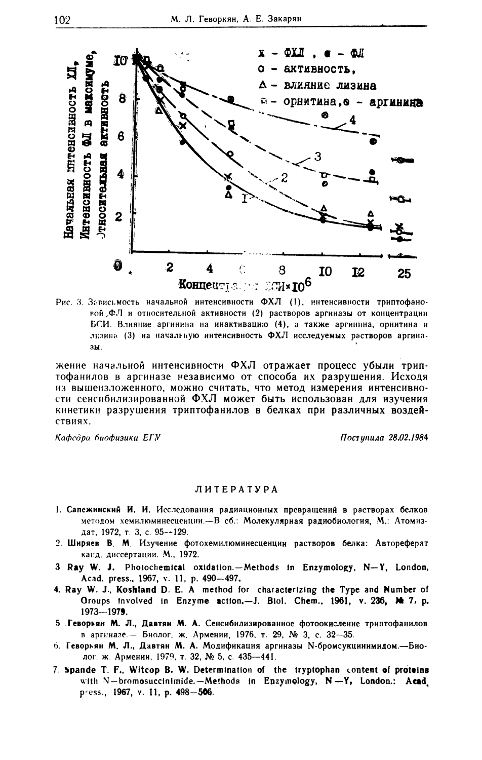

Рис. 3. Зависьмость начальной интенсивности ФХЛ (1), интенсивности триптофановой ФЛ и относительной активности (2) растворов аргиназы от концентрации БСИ. Влияние аргинина на инактивацию (4), а также аргинина, орнитина и лизина (3) на начальную интенсивность ФХЛ исследуемых растворов аргиназы.

жение начальной интенсивности ФХЛ отражает процесс убыли триптофанилов в аргиназе независимо от способа их разрушения. Исходя из вышензложенного, можно считать, что метод измерения интенсивности сенсибилизированной ФХЛ может быть использован для изучения кинетики разрушения триптофанилов в белках при различных воздействиях.

Кафедра биофизики ЕГУ

Поступила 28.02.1984

#### ЛИТЕРАТУРА

- 1. Сапежинский И. И. Исследования радиационных превращений в растворах белков методом хемилюминесценции.-- В сб.: Молекулярная радиобиология, М.: Атомиздат, 1972, т. 3, с. 95-+129.
- 2. Ширяев В. М. Изучение фотохемилюминесценции растворов белка: Автореферат канд. диссертации. М., 1972.
- 3 Ray W. J. Photochemical oxidation.-Methods in Enzymology, N-Y, London, Acad. press., 1967, v. 11, p. 490-497.
- 4. Ray W. J., Koshland D. E. A method for characterizing the Type and Number of Oroups involved in Enzyme action.--J. Biol. Chem., 1961, v. 236, Me 7, p. 1973-1979.
- 5 Геворкян М. Л., Давтян М. А. Сенсибилизированное фотоокисление триптофанилов в аргиназе. - Биолог, ж. Армении, 1976, т. 29, № 3, с. 32-35.
- 6. Геворьян М. Л., Давтян М. А. Модификация аргиназы N-бромсукцинимидом.---Биолог. ж. Армении, 1979, т. 32, № 5, с. 435-441.
- 7. Spande T. F., Witcop B. W. Determination of the tryptophan content of proteins with N-bromosuccinimide.-Methods in Enzymology, N-Y, London.: Acad. press., 1967, v. 11, p. 498-506.